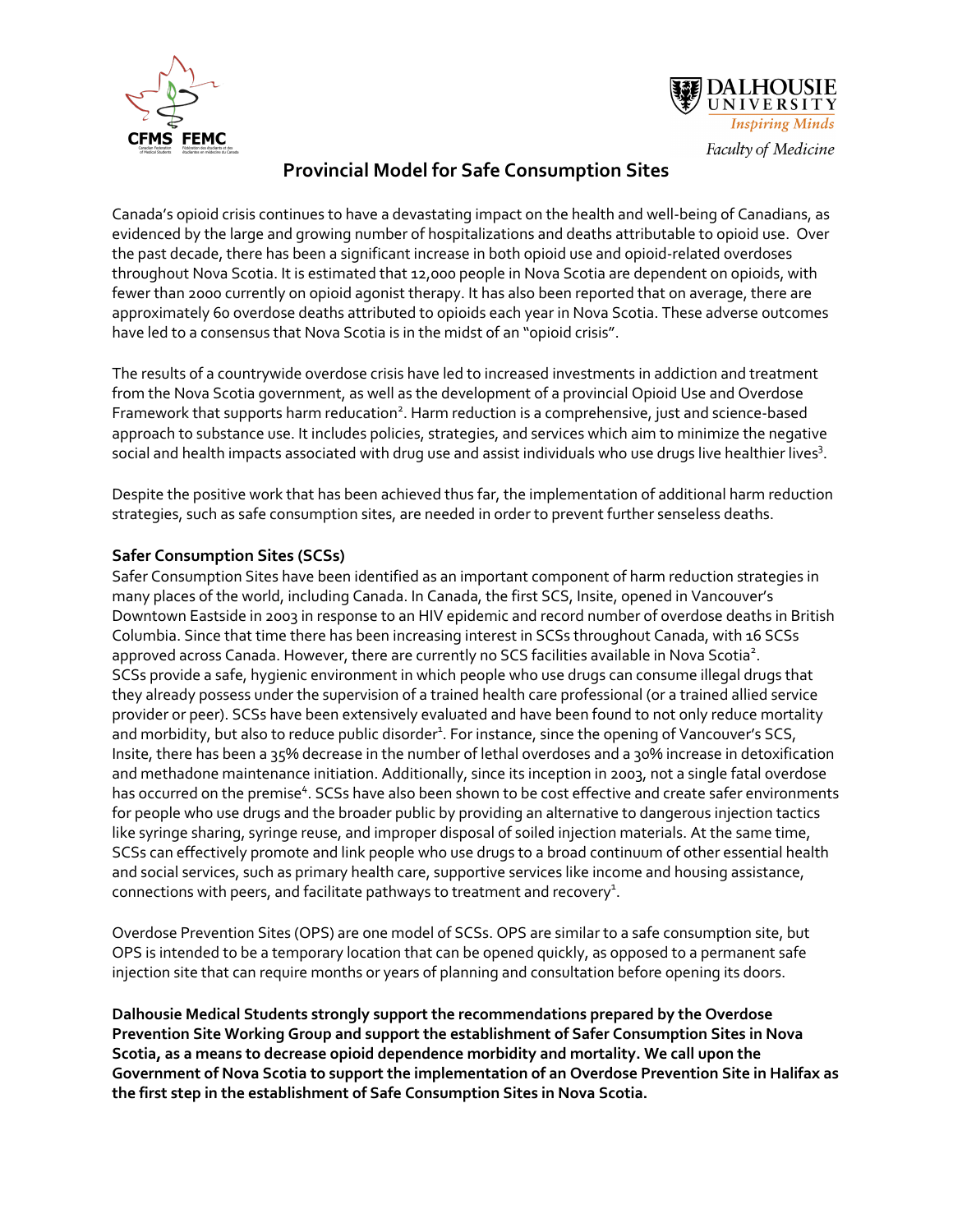



## **Provincial Model for Safe Consumption Sites**

Canada's opioid crisis continues to have a devastating impact on the health and well-being of Canadians, as evidenced by the large and growing number of hospitalizations and deaths attributable to opioid use. Over the past decade, there has been a significant increase in both opioid use and opioid-related overdoses throughout Nova Scotia. It is estimated that 12,000 people in Nova Scotia are dependent on opioids, with fewer than 2000 currently on opioid agonist therapy. It has also been reported that on average, there are approximately 60 overdose deaths attributed to opioids each year in Nova Scotia. These adverse outcomes have led to a consensus that Nova Scotia is in the midst of an "opioid crisis".

The results of a countrywide overdose crisis have led to increased investments in addiction and treatment from the Nova Scotia government, as well as the development of a provincial Opioid Use and Overdose Framework that supports harm reducation<sup>2</sup>. Harm reduction is a comprehensive, just and science-based approach to substance use. It includes policies, strategies, and services which aim to minimize the negative social and health impacts associated with drug use and assist individuals who use drugs live healthier lives $3$ .

Despite the positive work that has been achieved thus far, the implementation of additional harm reduction strategies, such as safe consumption sites, are needed in order to prevent further senseless deaths.

## **Safer Consumption Sites (SCSs)**

Safer Consumption Sites have been identified as an important component of harm reduction strategies in many places of the world, including Canada. In Canada, the first SCS, Insite, opened in Vancouver's Downtown Eastside in 2003 in response to an HIV epidemic and record number of overdose deaths in British Columbia. Since that time there has been increasing interest in SCSs throughout Canada, with 16 SCSs approved across Canada. However, there are currently no SCS facilities available in Nova Scotia<sup>2</sup>. SCSs provide a safe, hygienic environment in which people who use drugs can consume illegal drugs that they already possess under the supervision of a trained health care professional (or a trained allied service provider or peer). SCSs have been extensively evaluated and have been found to not only reduce mortality and morbidity, but also to reduce public disorder<sup>1</sup>. For instance, since the opening of Vancouver's SCS, Insite, there has been a 35% decrease in the number of lethal overdoses and a 30% increase in detoxification and methadone maintenance initiation. Additionally, since its inception in 2003, not a single fatal overdose has occurred on the premise<sup>4</sup>. SCSs have also been shown to be cost effective and create safer environments for people who use drugs and the broader public by providing an alternative to dangerous injection tactics like syringe sharing, syringe reuse, and improper disposal of soiled injection materials. At the same time, SCSs can effectively promote and link people who use drugs to a broad continuum of other essential health and social services, such as primary health care, supportive services like income and housing assistance, connections with peers, and facilitate pathways to treatment and recovery<sup>1</sup>.

Overdose Prevention Sites (OPS) are one model of SCSs. OPS are similar to a safe consumption site, but OPS is intended to be a temporary location that can be opened quickly, as opposed to a permanent safe injection site that can require months or years of planning and consultation before opening its doors.

**Dalhousie Medical Students strongly support the recommendations prepared by the Overdose Prevention Site Working Group and support the establishment of Safer Consumption Sites in Nova Scotia, as a means to decrease opioid dependence morbidity and mortality. We call upon the Government of Nova Scotia to support the implementation of an Overdose Prevention Site in Halifax as the first step in the establishment of Safe Consumption Sites in Nova Scotia.**